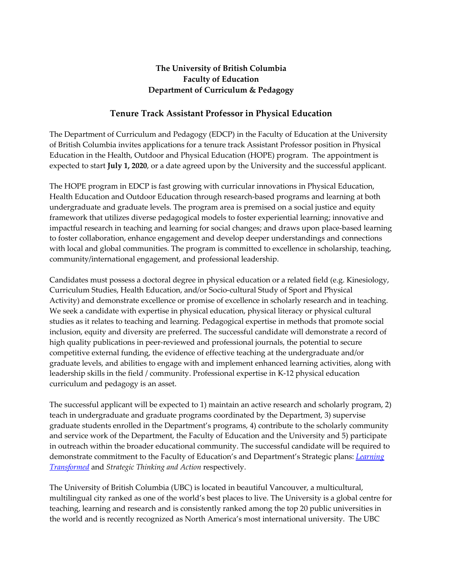## **The University of British Columbia Faculty of Education Department of Curriculum & Pedagogy**

## **Tenure Track Assistant Professor in Physical Education**

The Department of Curriculum and Pedagogy (EDCP) in the Faculty of Education at the University of British Columbia invites applications for a tenure track Assistant Professor position in Physical Education in the Health, Outdoor and Physical Education (HOPE) program. The appointment is expected to start **July 1, 2020**, or a date agreed upon by the University and the successful applicant.

The HOPE program in EDCP is fast growing with curricular innovations in Physical Education, Health Education and Outdoor Education through research-based programs and learning at both undergraduate and graduate levels. The program area is premised on a social justice and equity framework that utilizes diverse pedagogical models to foster experiential learning; innovative and impactful research in teaching and learning for social changes; and draws upon place-based learning to foster collaboration, enhance engagement and develop deeper understandings and connections with local and global communities. The program is committed to excellence in scholarship, teaching, community/international engagement, and professional leadership.

Candidates must possess a doctoral degree in physical education or a related field (e.g. Kinesiology, Curriculum Studies, Health Education, and/or Socio-cultural Study of Sport and Physical Activity) and demonstrate excellence or promise of excellence in scholarly research and in teaching. We seek a candidate with expertise in physical education, physical literacy or physical cultural studies as it relates to teaching and learning. Pedagogical expertise in methods that promote social inclusion, equity and diversity are preferred. The successful candidate will demonstrate a record of high quality publications in peer-reviewed and professional journals, the potential to secure competitive external funding, the evidence of effective teaching at the undergraduate and/or graduate levels, and abilities to engage with and implement enhanced learning activities, along with leadership skills in the field / community. Professional expertise in K-12 physical education curriculum and pedagogy is an asset.

The successful applicant will be expected to 1) maintain an active research and scholarly program, 2) teach in undergraduate and graduate programs coordinated by the Department, 3) supervise graduate students enrolled in the Department's programs, 4) contribute to the scholarly community and service work of the Department, the Faculty of Education and the University and 5) participate in outreach within the broader educational community. The successful candidate will be required to demonstrate commitment to the Faculty of Education's and Department's Strategic plans: *Learning Transformed* and *Strategic Thinking and Action* respectively.

The University of British Columbia (UBC) is located in beautiful Vancouver, a multicultural, multilingual city ranked as one of the world's best places to live. The University is a global centre for teaching, learning and research and is consistently ranked among the top 20 public universities in the world and is recently recognized as North America's most international university. The UBC